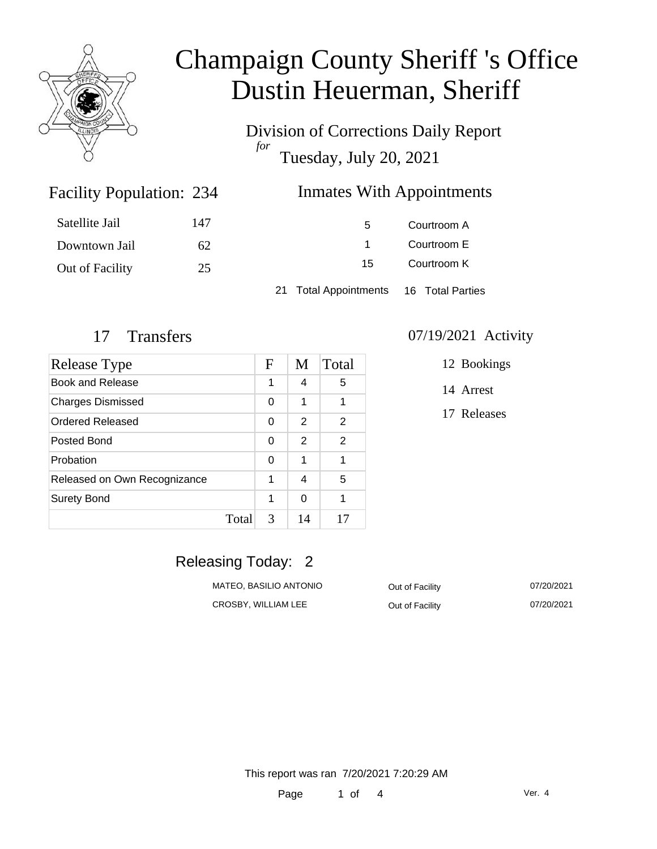

Division of Corrections Daily Report *for* Tuesday, July 20, 2021

### Inmates With Appointments

| Satellite Jail  | 147 | 5.                                     | Courtroom A |
|-----------------|-----|----------------------------------------|-------------|
| Downtown Jail   | 62  |                                        | Courtroom E |
| Out of Facility | 25  | 15                                     | Courtroom K |
|                 |     | 21 Total Appointments 16 Total Parties |             |

Facility Population: 234

| <b>Release Type</b>          |            | M  | Total          |
|------------------------------|------------|----|----------------|
| Book and Release             |            | 4  | 5              |
| <b>Charges Dismissed</b>     |            | 1  | 1              |
| Ordered Released             |            | 2  | 2              |
| Posted Bond                  |            | 2  | $\overline{2}$ |
| Probation                    |            | 1  | 1              |
| Released on Own Recognizance |            | 4  | 5              |
| <b>Surety Bond</b>           |            | 0  | 1              |
|                              | 3<br>Total | 14 | 17             |

#### 17 Transfers 07/19/2021 Activity

12 Bookings

14 Arrest

17 Releases

## Releasing Today: 2

| MATEO, BASILIO ANTONIO | Out of Facility | 07/20/2021 |
|------------------------|-----------------|------------|
| CROSBY, WILLIAM LEE    | Out of Facility | 07/20/2021 |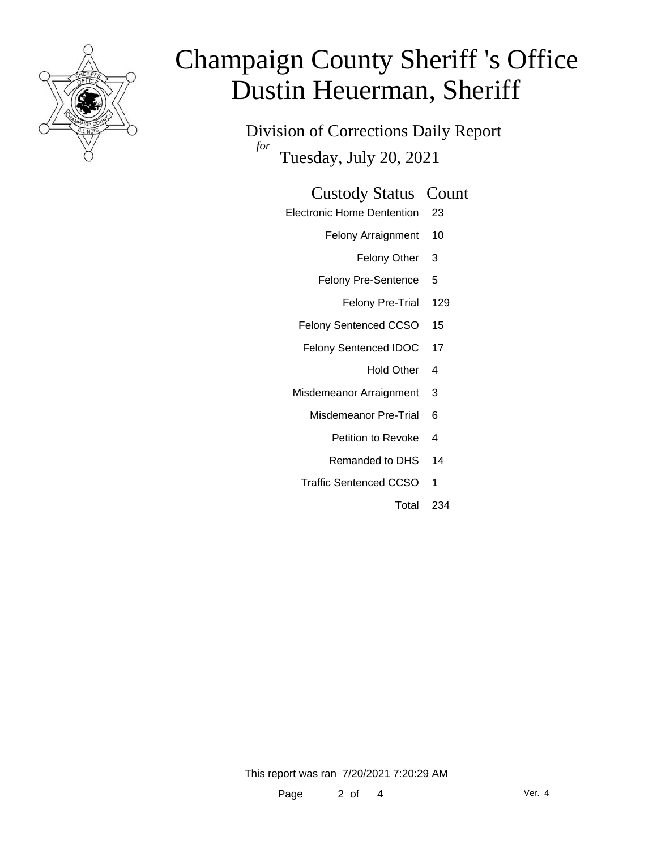

Division of Corrections Daily Report *for* Tuesday, July 20, 2021

#### Custody Status Count

- Electronic Home Dentention 23
	- Felony Arraignment 10
		- Felony Other 3
	- Felony Pre-Sentence 5
		- Felony Pre-Trial 129
	- Felony Sentenced CCSO 15
	- Felony Sentenced IDOC 17
		- Hold Other 4
	- Misdemeanor Arraignment 3
		- Misdemeanor Pre-Trial 6
			- Petition to Revoke 4
			- Remanded to DHS 14
		- Traffic Sentenced CCSO 1
			- Total 234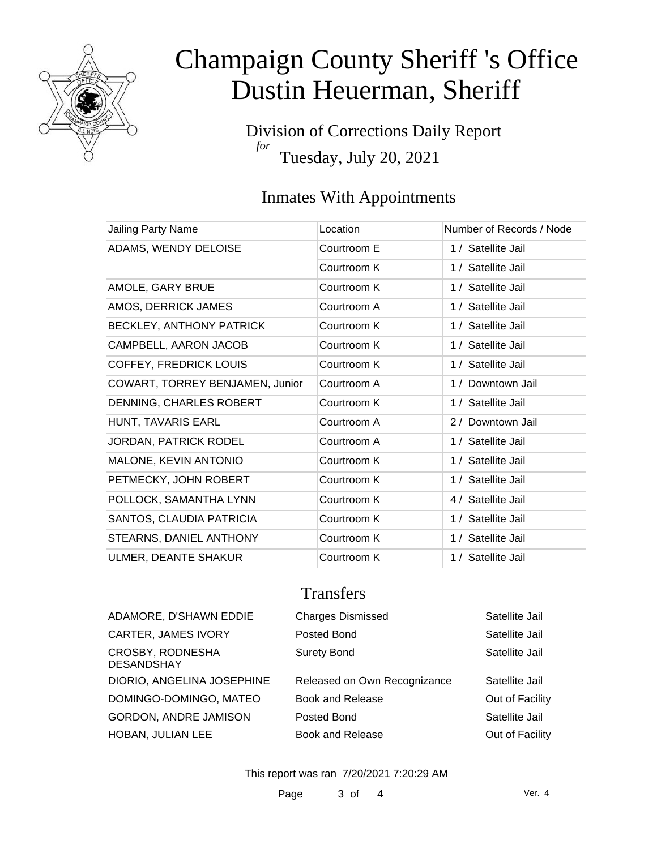

Division of Corrections Daily Report *for* Tuesday, July 20, 2021

## Inmates With Appointments

| Jailing Party Name              | Location    | Number of Records / Node |
|---------------------------------|-------------|--------------------------|
| ADAMS, WENDY DELOISE            | Courtroom E | 1 / Satellite Jail       |
|                                 | Courtroom K | 1 / Satellite Jail       |
| AMOLE, GARY BRUE                | Courtroom K | 1 / Satellite Jail       |
| AMOS, DERRICK JAMES             | Courtroom A | 1 / Satellite Jail       |
| <b>BECKLEY, ANTHONY PATRICK</b> | Courtroom K | 1 / Satellite Jail       |
| CAMPBELL, AARON JACOB           | Courtroom K | 1 / Satellite Jail       |
| <b>COFFEY, FREDRICK LOUIS</b>   | Courtroom K | 1 / Satellite Jail       |
| COWART, TORREY BENJAMEN, Junior | Courtroom A | 1 / Downtown Jail        |
| DENNING, CHARLES ROBERT         | Courtroom K | 1 / Satellite Jail       |
| HUNT, TAVARIS EARL              | Courtroom A | 2 / Downtown Jail        |
| <b>JORDAN, PATRICK RODEL</b>    | Courtroom A | 1 / Satellite Jail       |
| MALONE, KEVIN ANTONIO           | Courtroom K | 1 / Satellite Jail       |
| PETMECKY, JOHN ROBERT           | Courtroom K | 1 / Satellite Jail       |
| POLLOCK, SAMANTHA LYNN          | Courtroom K | 4 / Satellite Jail       |
| SANTOS, CLAUDIA PATRICIA        | Courtroom K | 1 / Satellite Jail       |
| STEARNS, DANIEL ANTHONY         | Courtroom K | 1 / Satellite Jail       |
| ULMER, DEANTE SHAKUR            | Courtroom K | 1 / Satellite Jail       |

### **Transfers**

| ADAMORE, D'SHAWN EDDIE                | <b>Charges Dismissed</b>     | Satellite Jail  |
|---------------------------------------|------------------------------|-----------------|
| <b>CARTER, JAMES IVORY</b>            | Posted Bond                  | Satellite Jail  |
| CROSBY, RODNESHA<br><b>DESANDSHAY</b> | <b>Surety Bond</b>           | Satellite Jail  |
| DIORIO, ANGELINA JOSEPHINE            | Released on Own Recognizance | Satellite Jail  |
| DOMINGO-DOMINGO, MATEO                | <b>Book and Release</b>      | Out of Facility |
| GORDON, ANDRE JAMISON                 | Posted Bond                  | Satellite Jail  |
| HOBAN, JULIAN LEE                     | <b>Book and Release</b>      | Out of Facility |